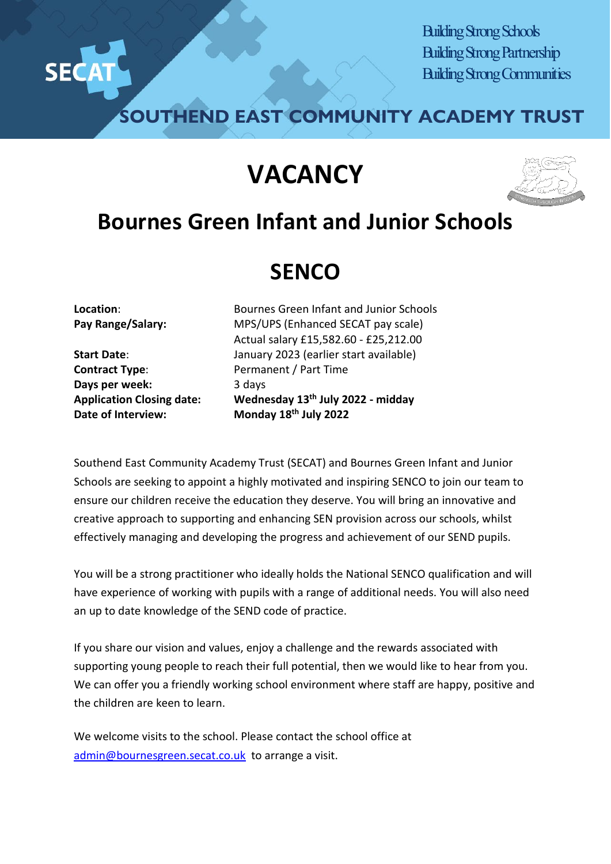

Building Strong Schools Building Strong Partnership Building Strong Communities

**SOUTHEND EAST COMMUNITY ACADEMY TRUST**

## **VACANCY**



## **Bournes Green Infant and Junior Schools**

## **SENCO**

**Contract Type:** Permanent / Part Time **Days** per week: 3 days **Date of Interview: Monday 18th July 2022** 

**Location**: Bournes Green Infant and Junior Schools **Pay Range/Salary:** MPS/UPS (Enhanced SECAT pay scale) Actual salary £15,582.60 - £25,212.00 **Start Date**: January 2023 (earlier start available) **Application Closing date: Wednesday 13th July 2022 - midday**

Southend East Community Academy Trust (SECAT) and Bournes Green Infant and Junior Schools are seeking to appoint a highly motivated and inspiring SENCO to join our team to ensure our children receive the education they deserve. You will bring an innovative and creative approach to supporting and enhancing SEN provision across our schools, whilst effectively managing and developing the progress and achievement of our SEND pupils.

You will be a strong practitioner who ideally holds the National SENCO qualification and will have experience of working with pupils with a range of additional needs. You will also need an up to date knowledge of the SEND code of practice.

If you share our vision and values, enjoy a challenge and the rewards associated with supporting young people to reach their full potential, then we would like to hear from you. We can offer you a friendly working school environment where staff are happy, positive and the children are keen to learn.

We welcome visits to the school. Please contact the school office at [admin@bournesgreen.secat.co.uk](mailto:admin@bournesgreen.secat.co.uk) to arrange a visit.